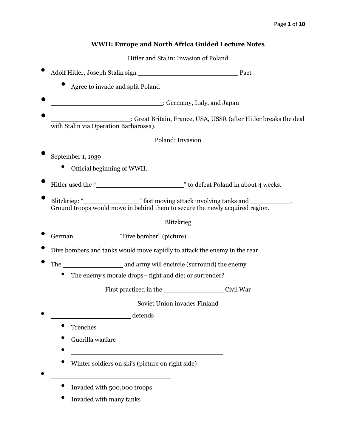# **WWII: Europe and North Africa Guided Lecture Notes**

### Hitler and Stalin: Invasion of Poland

- Adolf Hitler, Joseph Stalin sign \_\_\_\_\_\_\_\_\_\_\_\_\_\_\_\_\_\_\_\_\_\_\_\_\_ Pact
	- Agree to invade and split Poland
- \_\_\_\_\_\_\_\_\_\_\_\_\_\_\_\_\_\_\_\_\_\_\_\_\_\_\_\_: Germany, Italy, and Japan
- : Great Britain, France, USA, USSR (after Hitler breaks the deal with Stalin via Operation Barbarossa).

## Poland: Invasion

- September 1, 1939
	- Official beginning of WWII.
- Hitler used the "\_\_\_\_\_\_\_\_\_\_\_\_\_\_\_\_\_\_\_\_\_\_" to defeat Poland in about 4 weeks.
- Blitzkrieg: "\_\_\_\_\_\_\_\_\_\_\_\_\_\_" fast moving attack involving tanks and \_\_\_\_\_\_\_\_\_\_. Ground troops would move in behind them to secure the newly acquired region.

### Blitzkrieg

- German \_\_\_\_\_\_\_\_\_\_\_ "Dive bomber" (picture)
- Dive bombers and tanks would move rapidly to attack the enemy in the rear.
- The \_\_\_\_\_\_\_\_\_\_\_\_\_\_\_ and army will encircle (surround) the enemy
	- The enemy's morale drops- fight and die; or surrender?

First practiced in the Civil War

Soviet Union invades Finland

- $\deg$  defends
	- **Trenches**
	- Guerilla warfare
	- $\bullet$   $\overline{\phantom{a}}$
	- Winter soldiers on ski's (picture on right side)
- $\bullet$   $\overline{\phantom{a}}$ 
	- Invaded with 500,000 troops
	- Invaded with many tanks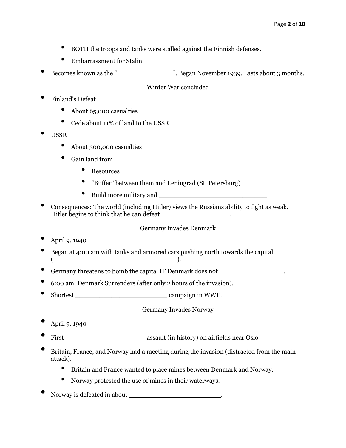- BOTH the troops and tanks were stalled against the Finnish defenses.
- Embarrassment for Stalin
- Becomes known as the "\_\_\_\_\_\_\_\_\_\_\_\_\_\_". Began November 1939. Lasts about 3 months.

Winter War concluded

- Finland's Defeat
	- About 65,000 casualties
	- Cede about 11% of land to the USSR
- USSR
	- About 300,000 casualties
	- Gain land from
		- **Resources**
		- "Buffer" between them and Leningrad (St. Petersburg)
		- Build more military and \_
- Consequences: The world (including Hitler) views the Russians ability to fight as weak. Hitler begins to think that he can defeat \_\_\_\_\_\_\_\_\_\_\_\_\_\_\_\_\_\_\_\_.

#### Germany Invades Denmark

- April 9, 1940
- Began at 4:00 am with tanks and armored cars pushing north towards the capital  $\blacksquare$
- Germany threatens to bomb the capital IF Denmark does not  $\cdot$
- 6:00 am: Denmark Surrenders (after only 2 hours of the invasion).
- Shortest \_\_\_\_\_\_\_\_\_\_\_\_\_\_\_\_\_\_\_\_\_\_\_ campaign in WWII.

Germany Invades Norway

- April 9, 1940
- First **First** assault (in history) on airfields near Oslo.
- Britain, France, and Norway had a meeting during the invasion (distracted from the main attack).
	- Britain and France wanted to place mines between Denmark and Norway.
	- Norway protested the use of mines in their waterways.
- Norway is defeated in about \_\_\_\_\_\_\_\_\_\_\_\_\_\_\_\_\_\_\_\_\_\_\_.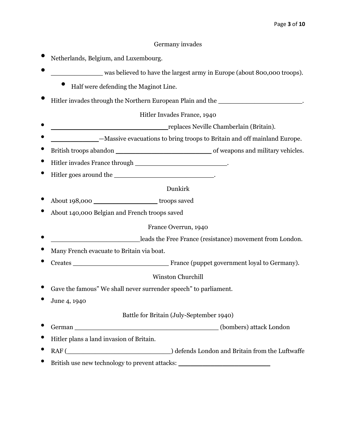#### Germany invades

- Netherlands, Belgium, and Luxembourg.
- was believed to have the largest army in Europe (about 800,000 troops).
	- Half were defending the Maginot Line.
- Hitler invades through the Northern European Plain and the \_\_\_\_\_\_\_\_\_\_\_\_\_\_\_\_\_\_\_\_\_.

Hitler Invades France, 1940

- \_\_\_\_\_\_\_\_\_\_\_\_\_\_\_\_\_\_\_\_\_\_\_\_\_\_\_\_\_ replaces Neville Chamberlain (Britain).
- \_\_\_\_\_\_\_\_\_\_\_\_—Massive evacuations to bring troops to Britain and off mainland Europe.
- British troops abandon \_\_\_\_\_\_\_\_\_\_\_\_\_\_\_\_\_\_\_\_\_\_\_\_ of weapons and military vehicles.
- Hitler invades France through **Exercise 1999**.
- Hitler goes around the  $\cdot$

#### Dunkirk

- About 198,000 **b** troops saved
- About 140,000 Belgian and French troops saved

#### France Overrun, 1940

- \_\_\_\_\_\_\_\_\_\_\_\_\_\_\_\_\_\_\_\_\_\_ leads the Free France (resistance) movement from London.
- Many French evacuate to Britain via boat.
- Creates \_\_\_\_\_\_\_\_\_\_\_\_\_\_\_\_\_\_\_\_\_\_\_\_ France (puppet government loyal to Germany).

#### Winston Churchill

- Gave the famous" We shall never surrender speech" to parliament.
- June 4, 1940

#### Battle for Britain (July-September 1940)

- German \_\_\_\_\_\_\_\_\_\_\_\_\_\_\_\_\_\_\_\_\_\_\_\_\_\_\_\_\_\_\_\_\_\_\_\_ (bombers) attack London
- Hitler plans a land invasion of Britain.
- RAF (\_\_\_\_\_\_\_\_\_\_\_\_\_\_\_\_\_\_\_\_\_\_\_\_\_\_) defends London and Britain from the Luftwaffe
- British use new technology to prevent attacks: \_\_\_\_\_\_\_\_\_\_\_\_\_\_\_\_\_\_\_\_\_\_\_\_\_\_\_\_\_\_\_\_\_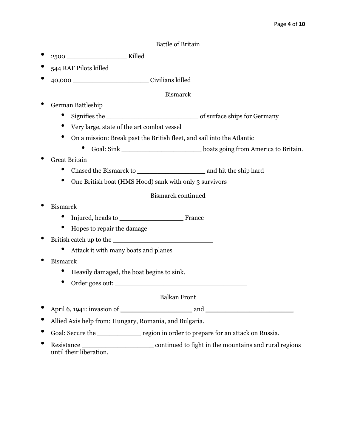#### Battle of Britain

- 2500 \_\_\_\_\_\_\_\_\_\_\_\_\_\_\_ Killed
- 544 RAF Pilots killed
- 40,000 \_\_\_\_\_\_\_\_\_\_\_\_\_\_\_\_\_\_\_ Civilians killed

#### Bismarck

- German Battleship
	- Signifies the \_\_\_\_\_\_\_\_\_\_\_\_\_\_\_\_\_\_\_\_\_\_\_ of surface ships for Germany
	- Very large, state of the art combat vessel
	- On a mission: Break past the British fleet, and sail into the Atlantic
		- Goal: Sink \_\_\_\_\_\_\_\_\_\_\_\_\_\_\_\_\_\_\_\_ boats going from America to Britain.
- Great Britain
	- Chased the Bismarck to \_\_\_\_\_\_\_\_\_\_\_\_\_\_\_\_\_ and hit the ship hard
	- One British boat (HMS Hood) sank with only 3 survivors

Bismarck continued

- Bismarck
	- Injured, heads to \_\_\_\_\_\_\_\_\_\_\_\_\_\_\_\_ France
	- Hopes to repair the damage
- British catch up to the \_\_\_\_\_\_\_\_\_\_\_\_\_\_\_\_\_\_\_\_\_\_\_\_\_
	- Attack it with many boats and planes
- Bismarck
	- Heavily damaged, the boat begins to sink.
	- Order goes out:

#### Balkan Front

- April 6, 1941: invasion of and and  $\alpha$
- Allied Axis help from: Hungary, Romania, and Bulgaria.
- Goal: Secure the <u>secure the region</u> in order to prepare for an attack on Russia.
- Resistance \_\_\_\_\_\_\_\_\_\_\_\_\_\_\_\_\_\_ continued to fight in the mountains and rural regions until their liberation.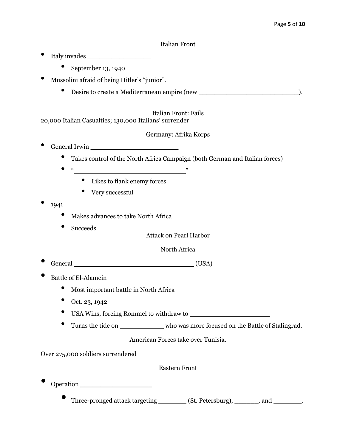### Italian Front

- Italy invades \_\_\_\_\_\_\_\_\_\_\_\_\_\_\_\_
	- September 13, 1940
- Mussolini afraid of being Hitler's "junior".
	- Desire to create a Mediterranean empire (new \_\_\_\_\_\_\_\_\_\_\_\_\_\_\_\_\_\_\_\_\_\_\_\_\_\_\_\_\_\_\_\_\_).

Italian Front: Fails 20,000 Italian Casualties; 130,000 Italians' surrender

#### Germany: Afrika Korps

- General Irwin \_\_\_\_\_\_\_\_\_\_\_\_\_\_\_\_\_\_\_\_\_\_
	- Takes control of the North Africa Campaign (both German and Italian forces)
	- - Likes to flank enemy forces
		- Very successful
- <sup>1941</sup>
	- Makes advances to take North Africa
	- Succeeds

Attack on Pearl Harbor

North Africa

- General \_\_\_\_\_\_\_\_\_\_\_\_\_\_\_\_\_\_\_\_\_\_\_\_\_\_\_\_\_\_ (USA)
- Battle of El-Alamein
	- Most important battle in North Africa
	- Oct. 23, 1942
	- USA Wins, forcing Rommel to withdraw to \_\_\_\_\_\_\_\_\_\_\_\_\_\_\_\_\_\_\_\_
	- Turns the tide on \_\_\_\_\_\_\_\_\_\_\_ who was more focused on the Battle of Stalingrad.

American Forces take over Tunisia.

Over 275,000 soldiers surrendered

Eastern Front

• Operation \_\_\_\_\_\_\_\_\_\_\_\_\_\_\_\_\_\_

Three-pronged attack targeting \_\_\_\_\_\_\_\_ (St. Petersburg), \_\_\_\_\_\_\_, and \_\_\_\_\_\_\_\_.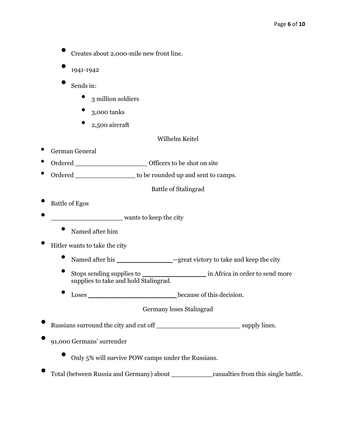- Creates about 2,000-mile new front line.
- 1941-1942
- Sends in:
	- 3 million soldiers
	- 3,000 tanks
	- 2,500 aircraft
- Wilhelm Keitel

- German General
- Ordered \_\_\_\_\_\_\_\_\_\_\_\_\_\_\_\_\_\_\_\_\_\_\_\_\_\_\_\_\_\_\_Officers to be shot on site
- Ordered \_\_\_\_\_\_\_\_\_\_\_\_\_\_\_\_\_\_\_ to be rounded up and sent to camps.

Battle of Stalingrad

- Battle of Egos
- **\_\_\_\_\_\_\_\_\_\_\_\_\_\_\_** wants to keep the city
	- Named after him
- Hitler wants to take the city
	- Named after his \_\_\_\_\_\_\_\_\_\_\_\_\_\_—great victory to take and keep the city
	- Stops sending supplies to \_\_\_\_\_\_\_\_\_\_\_\_\_\_\_\_ in Africa in order to send more supplies to take and hold Stalingrad.
	- Loses \_\_\_\_\_\_\_\_\_\_\_\_\_\_\_\_\_\_\_\_\_\_ because of this decision.

Germany loses Stalingrad

• Russians surround the city and cut off \_\_\_\_\_\_\_\_\_\_\_\_\_\_\_\_\_\_\_\_\_ supply lines.

• 91,000 Germans' surrender

- Only 5% will survive POW camps under the Russians.
- Total (between Russia and Germany) about \_\_\_\_\_\_\_\_\_\_ casualties from this single battle.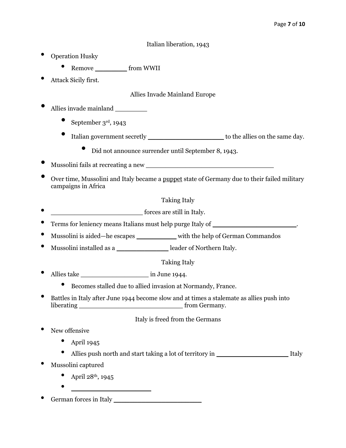### Italian liberation, 1943

- Operation Husky
	- Remove \_\_\_\_\_\_\_\_ from WWII
- Attack Sicily first.

Allies Invade Mainland Europe

- Allies invade mainland \_\_\_\_\_\_\_\_
	- September 3rd, 1943
	- Italian government secretly \_\_\_\_\_\_\_\_\_\_\_\_\_\_\_\_\_\_\_ to the allies on the same day.
		- Did not announce surrender until September 8, 1943.
- Mussolini fails at recreating a new \_\_\_\_\_\_\_\_\_\_\_\_\_\_\_\_\_\_\_\_\_\_\_\_\_\_\_\_\_\_\_\_
- Over time, Mussolini and Italy became a puppet state of Germany due to their failed military campaigns in Africa

### Taking Italy

- **• forces are still in Italy.**
- Terms for leniency means Italians must help purge Italy of \_\_\_\_\_\_\_\_\_\_\_\_\_\_\_\_\_\_\_\_\_.
- Mussolini is aided—he escapes \_\_\_\_\_\_\_\_\_\_ with the help of German Commandos
- Mussolini installed as a \_\_\_\_\_\_\_\_\_\_\_\_\_\_\_\_\_\_\_\_\_\_\_leader of Northern Italy.

Taking Italy

- Allies take  $\qquad \qquad$  in June 1944.
	- Becomes stalled due to allied invasion at Normandy, France.
- Battles in Italy after June 1944 become slow and at times a stalemate as allies push into liberating \_\_\_\_\_\_\_\_\_\_\_\_\_\_\_\_\_\_\_\_\_\_\_\_\_\_ from Germany.

# Italy is freed from the Germans

- New offensive
	- $\bullet$  April 1945
	- Allies push north and start taking a lot of territory in Italy
- Mussolini captured
	- April  $28^{th}$ , 1945
	- \_\_\_\_\_\_\_\_\_\_\_\_\_\_\_\_\_\_\_\_
- German forces in Italy \_\_\_\_\_\_\_\_\_\_\_\_\_\_\_\_\_\_\_\_\_\_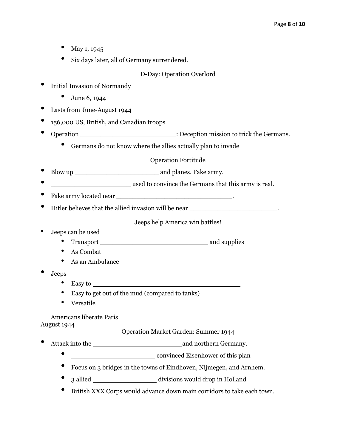- May 1, 1945
- Six days later, all of Germany surrendered.

### D-Day: Operation Overlord

- Initial Invasion of Normandy
	- June 6, 1944
- Lasts from June-August 1944
- 156,000 US, British, and Canadian troops
- Operation \_\_\_\_\_\_\_\_\_\_\_\_\_\_\_\_\_\_\_\_\_\_\_\_\_\_\_\_\_\_: Deception mission to trick the Germans.
	- Germans do not know where the allies actually plan to invade

Operation Fortitude

- Blow up and planes. Fake army.
- used to convince the Germans that this army is real.
- Fake army located near \_\_\_\_\_\_\_\_\_\_\_\_\_\_\_\_\_\_\_\_\_\_\_\_\_\_\_\_\_.
- Hitler believes that the allied invasion will be near \_\_\_\_\_\_\_\_\_\_\_\_\_\_\_\_\_\_\_\_\_\_\_\_\_\_.

Jeeps help America win battles!

- Jeeps can be used
	- Transport \_\_\_\_\_\_\_\_\_\_\_\_\_\_\_\_\_\_\_\_\_\_\_\_\_\_\_ and supplies
	- As Combat
	- As an Ambulance
- Jeeps
	- Easy to  $\_\_\_\_\_\_\_\_\_\_\_\_\_\_\_\_$
	- Easy to get out of the mud (compared to tanks)
	- Versatile

Americans liberate Paris

August 1944

Operation Market Garden: Summer 1944

- Attack into the and northern Germany.
	- convinced Eisenhower of this plan
	- Focus on 3 bridges in the towns of Eindhoven, Nijmegen, and Arnhem.
	- 3 allied \_\_\_\_\_\_\_\_\_\_\_\_\_\_\_\_ divisions would drop in Holland
	- British XXX Corps would advance down main corridors to take each town.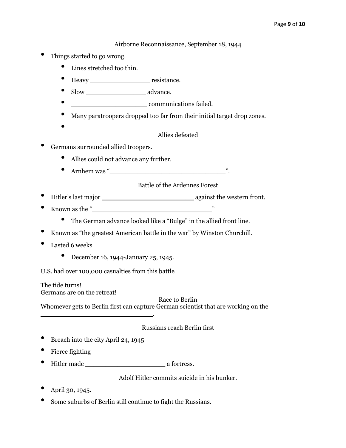Airborne Reconnaissance, September 18, 1944

- Things started to go wrong.
	- Lines stretched too thin.
	- Heavy resistance.
	- Slow \_\_\_\_\_\_\_\_\_\_\_\_\_\_\_ advance.
	- \_\_\_\_\_\_\_\_\_\_\_\_\_\_\_\_\_\_\_ communications failed.
	- Many paratroopers dropped too far from their initial target drop zones.
	- •

#### Allies defeated

- Germans surrounded allied troopers.
	- Allies could not advance any further.
	- Arnhem was "

### Battle of the Ardennes Forest

- Hitler's last major \_\_\_\_\_\_\_\_\_\_\_\_\_\_\_\_\_\_\_\_\_\_\_ against the western front.
- Known as the " $\frac{1}{2}$ "
	- The German advance looked like a "Bulge" in the allied front line.
- Known as "the greatest American battle in the war" by Winston Churchill.
- Lasted 6 weeks
	- December 16, 1944-January 25, 1945.

U.S. had over 100,000 casualties from this battle

The tide turns! Germans are on the retreat!

Race to Berlin

Whomever gets to Berlin first can capture German scientist that are working on the

#### Russians reach Berlin first

• Breach into the city April 24, 1945

\_\_\_\_\_\_\_\_\_\_\_\_\_\_\_\_\_\_\_\_\_\_\_\_\_\_\_\_.

- Fierce fighting
- Hitler made \_\_\_\_\_\_\_\_\_\_\_\_\_\_\_\_\_\_\_\_ a fortress.

Adolf Hitler commits suicide in his bunker.

- April 30, 1945.
- Some suburbs of Berlin still continue to fight the Russians.